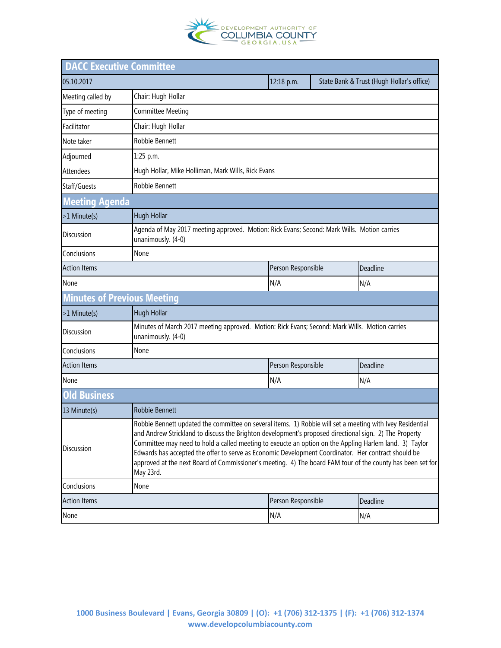

| <b>DACC Executive Committee</b>    |                                                                                                                                                                                                                                                                                                                                                                                                                                                                                                                                                                 |                    |          |                                           |  |  |  |
|------------------------------------|-----------------------------------------------------------------------------------------------------------------------------------------------------------------------------------------------------------------------------------------------------------------------------------------------------------------------------------------------------------------------------------------------------------------------------------------------------------------------------------------------------------------------------------------------------------------|--------------------|----------|-------------------------------------------|--|--|--|
| 05.10.2017                         |                                                                                                                                                                                                                                                                                                                                                                                                                                                                                                                                                                 | 12:18 p.m.         |          | State Bank & Trust (Hugh Hollar's office) |  |  |  |
| Meeting called by                  | Chair: Hugh Hollar                                                                                                                                                                                                                                                                                                                                                                                                                                                                                                                                              |                    |          |                                           |  |  |  |
| Type of meeting                    | Committee Meeting                                                                                                                                                                                                                                                                                                                                                                                                                                                                                                                                               |                    |          |                                           |  |  |  |
| Facilitator                        | Chair: Hugh Hollar                                                                                                                                                                                                                                                                                                                                                                                                                                                                                                                                              |                    |          |                                           |  |  |  |
| Note taker                         | Robbie Bennett                                                                                                                                                                                                                                                                                                                                                                                                                                                                                                                                                  |                    |          |                                           |  |  |  |
| Adjourned                          | 1:25 p.m.                                                                                                                                                                                                                                                                                                                                                                                                                                                                                                                                                       |                    |          |                                           |  |  |  |
| <b>Attendees</b>                   | Hugh Hollar, Mike Holliman, Mark Wills, Rick Evans                                                                                                                                                                                                                                                                                                                                                                                                                                                                                                              |                    |          |                                           |  |  |  |
| Staff/Guests                       | Robbie Bennett                                                                                                                                                                                                                                                                                                                                                                                                                                                                                                                                                  |                    |          |                                           |  |  |  |
| <b>Meeting Agenda</b>              |                                                                                                                                                                                                                                                                                                                                                                                                                                                                                                                                                                 |                    |          |                                           |  |  |  |
| >1 Minute(s)                       | Hugh Hollar                                                                                                                                                                                                                                                                                                                                                                                                                                                                                                                                                     |                    |          |                                           |  |  |  |
| <b>Discussion</b>                  | Agenda of May 2017 meeting approved. Motion: Rick Evans; Second: Mark Wills. Motion carries<br>unanimously. (4-0)                                                                                                                                                                                                                                                                                                                                                                                                                                               |                    |          |                                           |  |  |  |
| Conclusions                        | None                                                                                                                                                                                                                                                                                                                                                                                                                                                                                                                                                            |                    |          |                                           |  |  |  |
| <b>Action Items</b>                |                                                                                                                                                                                                                                                                                                                                                                                                                                                                                                                                                                 | Person Responsible |          | Deadline                                  |  |  |  |
| None                               |                                                                                                                                                                                                                                                                                                                                                                                                                                                                                                                                                                 | N/A                |          | N/A                                       |  |  |  |
| <b>Minutes of Previous Meeting</b> |                                                                                                                                                                                                                                                                                                                                                                                                                                                                                                                                                                 |                    |          |                                           |  |  |  |
| >1 Minute(s)                       | Hugh Hollar                                                                                                                                                                                                                                                                                                                                                                                                                                                                                                                                                     |                    |          |                                           |  |  |  |
| Discussion                         | Minutes of March 2017 meeting approved. Motion: Rick Evans; Second: Mark Wills. Motion carries<br>unanimously. (4-0)                                                                                                                                                                                                                                                                                                                                                                                                                                            |                    |          |                                           |  |  |  |
| Conclusions                        | None                                                                                                                                                                                                                                                                                                                                                                                                                                                                                                                                                            |                    |          |                                           |  |  |  |
| <b>Action Items</b>                |                                                                                                                                                                                                                                                                                                                                                                                                                                                                                                                                                                 | Person Responsible |          | Deadline                                  |  |  |  |
| None                               |                                                                                                                                                                                                                                                                                                                                                                                                                                                                                                                                                                 | N/A                |          | N/A                                       |  |  |  |
| <b>Old Business</b>                |                                                                                                                                                                                                                                                                                                                                                                                                                                                                                                                                                                 |                    |          |                                           |  |  |  |
| 13 Minute(s)                       | <b>Robbie Bennett</b>                                                                                                                                                                                                                                                                                                                                                                                                                                                                                                                                           |                    |          |                                           |  |  |  |
| <b>Discussion</b>                  | Robbie Bennett updated the committee on several items. 1) Robbie will set a meeting with Ivey Residential<br>and Andrew Strickland to discuss the Brighton development's proposed directional sign. 2) The Property<br>Committee may need to hold a called meeting to exeucte an option on the Appling Harlem land. 3) Taylor<br>Edwards has accepted the offer to serve as Economic Development Coordinator. Her contract should be<br>approved at the next Board of Commissioner's meeting. 4) The board FAM tour of the county has been set for<br>May 23rd. |                    |          |                                           |  |  |  |
| Conclusions                        | None                                                                                                                                                                                                                                                                                                                                                                                                                                                                                                                                                            |                    |          |                                           |  |  |  |
| <b>Action Items</b>                | Person Responsible                                                                                                                                                                                                                                                                                                                                                                                                                                                                                                                                              |                    | Deadline |                                           |  |  |  |
| None                               |                                                                                                                                                                                                                                                                                                                                                                                                                                                                                                                                                                 | N/A                |          | N/A                                       |  |  |  |